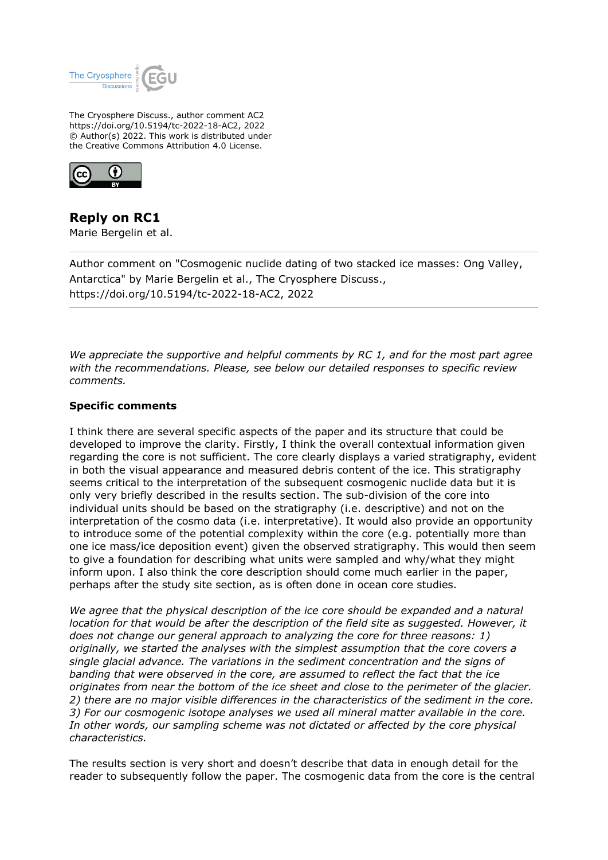

The Cryosphere Discuss., author comment AC2 https://doi.org/10.5194/tc-2022-18-AC2, 2022 © Author(s) 2022. This work is distributed under the Creative Commons Attribution 4.0 License.



**Reply on RC1** Marie Bergelin et al.

Author comment on "Cosmogenic nuclide dating of two stacked ice masses: Ong Valley, Antarctica" by Marie Bergelin et al., The Cryosphere Discuss., https://doi.org/10.5194/tc-2022-18-AC2, 2022

*We appreciate the supportive and helpful comments by RC 1, and for the most part agree with the recommendations. Please, see below our detailed responses to specific review comments.*

## **Specific comments**

I think there are several specific aspects of the paper and its structure that could be developed to improve the clarity. Firstly, I think the overall contextual information given regarding the core is not sufficient. The core clearly displays a varied stratigraphy, evident in both the visual appearance and measured debris content of the ice. This stratigraphy seems critical to the interpretation of the subsequent cosmogenic nuclide data but it is only very briefly described in the results section. The sub-division of the core into individual units should be based on the stratigraphy (i.e. descriptive) and not on the interpretation of the cosmo data (i.e. interpretative). It would also provide an opportunity to introduce some of the potential complexity within the core (e.g. potentially more than one ice mass/ice deposition event) given the observed stratigraphy. This would then seem to give a foundation for describing what units were sampled and why/what they might inform upon. I also think the core description should come much earlier in the paper, perhaps after the study site section, as is often done in ocean core studies.

*We agree that the physical description of the ice core should be expanded and a natural location for that would be after the description of the field site as suggested. However, it does not change our general approach to analyzing the core for three reasons: 1) originally, we started the analyses with the simplest assumption that the core covers a single glacial advance. The variations in the sediment concentration and the signs of banding that were observed in the core, are assumed to reflect the fact that the ice originates from near the bottom of the ice sheet and close to the perimeter of the glacier. 2) there are no major visible differences in the characteristics of the sediment in the core. 3) For our cosmogenic isotope analyses we used all mineral matter available in the core. In other words, our sampling scheme was not dictated or affected by the core physical characteristics.* 

The results section is very short and doesn't describe that data in enough detail for the reader to subsequently follow the paper. The cosmogenic data from the core is the central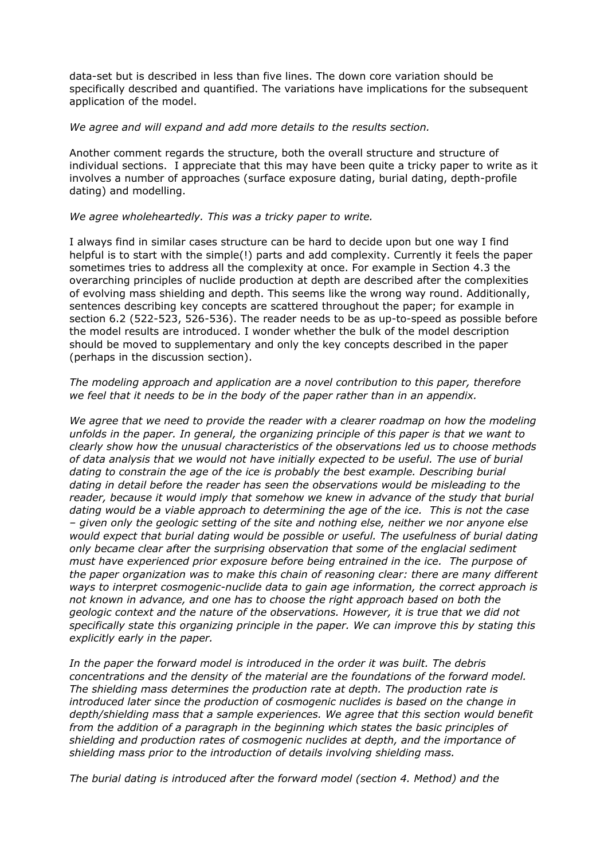data-set but is described in less than five lines. The down core variation should be specifically described and quantified. The variations have implications for the subsequent application of the model.

## *We agree and will expand and add more details to the results section.*

Another comment regards the structure, both the overall structure and structure of individual sections. I appreciate that this may have been quite a tricky paper to write as it involves a number of approaches (surface exposure dating, burial dating, depth-profile dating) and modelling.

## *We agree wholeheartedly. This was a tricky paper to write.*

I always find in similar cases structure can be hard to decide upon but one way I find helpful is to start with the simple(!) parts and add complexity. Currently it feels the paper sometimes tries to address all the complexity at once. For example in Section 4.3 the overarching principles of nuclide production at depth are described after the complexities of evolving mass shielding and depth. This seems like the wrong way round. Additionally, sentences describing key concepts are scattered throughout the paper; for example in section 6.2 (522-523, 526-536). The reader needs to be as up-to-speed as possible before the model results are introduced. I wonder whether the bulk of the model description should be moved to supplementary and only the key concepts described in the paper (perhaps in the discussion section).

## *The modeling approach and application are a novel contribution to this paper, therefore we feel that it needs to be in the body of the paper rather than in an appendix.*

*We agree that we need to provide the reader with a clearer roadmap on how the modeling unfolds in the paper. In general, the organizing principle of this paper is that we want to clearly show how the unusual characteristics of the observations led us to choose methods of data analysis that we would not have initially expected to be useful. The use of burial dating to constrain the age of the ice is probably the best example. Describing burial dating in detail before the reader has seen the observations would be misleading to the reader, because it would imply that somehow we knew in advance of the study that burial dating would be a viable approach to determining the age of the ice. This is not the case – given only the geologic setting of the site and nothing else, neither we nor anyone else would expect that burial dating would be possible or useful. The usefulness of burial dating only became clear after the surprising observation that some of the englacial sediment must have experienced prior exposure before being entrained in the ice. The purpose of the paper organization was to make this chain of reasoning clear: there are many different ways to interpret cosmogenic-nuclide data to gain age information, the correct approach is not known in advance, and one has to choose the right approach based on both the geologic context and the nature of the observations. However, it is true that we did not specifically state this organizing principle in the paper. We can improve this by stating this explicitly early in the paper.* 

*In the paper the forward model is introduced in the order it was built. The debris concentrations and the density of the material are the foundations of the forward model. The shielding mass determines the production rate at depth. The production rate is introduced later since the production of cosmogenic nuclides is based on the change in depth/shielding mass that a sample experiences. We agree that this section would benefit from the addition of a paragraph in the beginning which states the basic principles of shielding and production rates of cosmogenic nuclides at depth, and the importance of shielding mass prior to the introduction of details involving shielding mass.*

*The burial dating is introduced after the forward model (section 4. Method) and the*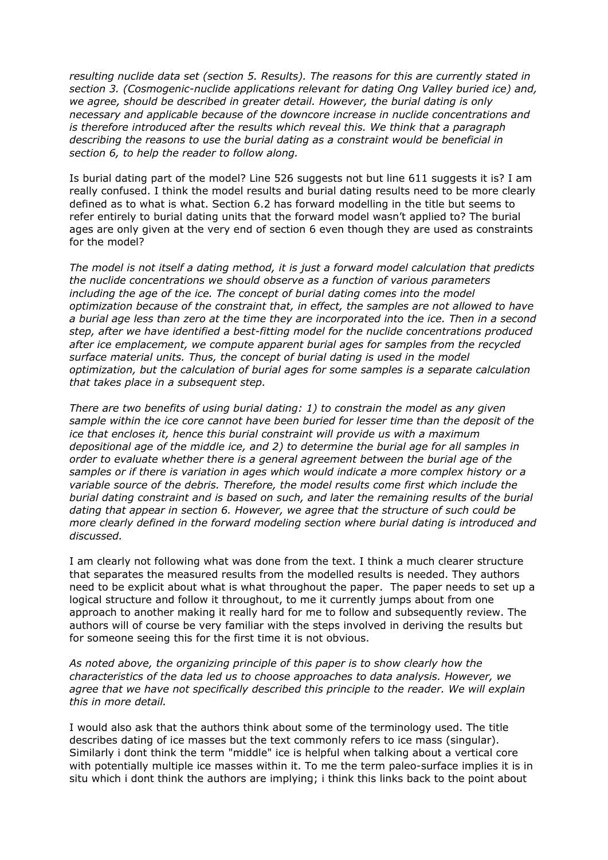*resulting nuclide data set (section 5. Results). The reasons for this are currently stated in section 3. (Cosmogenic-nuclide applications relevant for dating Ong Valley buried ice) and, we agree, should be described in greater detail. However, the burial dating is only necessary and applicable because of the downcore increase in nuclide concentrations and is therefore introduced after the results which reveal this. We think that a paragraph describing the reasons to use the burial dating as a constraint would be beneficial in section 6, to help the reader to follow along.*

Is burial dating part of the model? Line 526 suggests not but line 611 suggests it is? I am really confused. I think the model results and burial dating results need to be more clearly defined as to what is what. Section 6.2 has forward modelling in the title but seems to refer entirely to burial dating units that the forward model wasn't applied to? The burial ages are only given at the very end of section 6 even though they are used as constraints for the model?

*The model is not itself a dating method, it is just a forward model calculation that predicts the nuclide concentrations we should observe as a function of various parameters including the age of the ice. The concept of burial dating comes into the model optimization because of the constraint that, in effect, the samples are not allowed to have a burial age less than zero at the time they are incorporated into the ice. Then in a second step, after we have identified a best-fitting model for the nuclide concentrations produced after ice emplacement, we compute apparent burial ages for samples from the recycled surface material units. Thus, the concept of burial dating is used in the model optimization, but the calculation of burial ages for some samples is a separate calculation that takes place in a subsequent step.* 

*There are two benefits of using burial dating: 1) to constrain the model as any given sample within the ice core cannot have been buried for lesser time than the deposit of the ice that encloses it, hence this burial constraint will provide us with a maximum depositional age of the middle ice, and 2) to determine the burial age for all samples in order to evaluate whether there is a general agreement between the burial age of the samples or if there is variation in ages which would indicate a more complex history or a variable source of the debris. Therefore, the model results come first which include the burial dating constraint and is based on such, and later the remaining results of the burial dating that appear in section 6. However, we agree that the structure of such could be more clearly defined in the forward modeling section where burial dating is introduced and discussed.*

I am clearly not following what was done from the text. I think a much clearer structure that separates the measured results from the modelled results is needed. They authors need to be explicit about what is what throughout the paper. The paper needs to set up a logical structure and follow it throughout, to me it currently jumps about from one approach to another making it really hard for me to follow and subsequently review. The authors will of course be very familiar with the steps involved in deriving the results but for someone seeing this for the first time it is not obvious.

*As noted above, the organizing principle of this paper is to show clearly how the characteristics of the data led us to choose approaches to data analysis. However, we agree that we have not specifically described this principle to the reader. We will explain this in more detail.*

I would also ask that the authors think about some of the terminology used. The title describes dating of ice masses but the text commonly refers to ice mass (singular). Similarly i dont think the term "middle" ice is helpful when talking about a vertical core with potentially multiple ice masses within it. To me the term paleo-surface implies it is in situ which i dont think the authors are implying; i think this links back to the point about